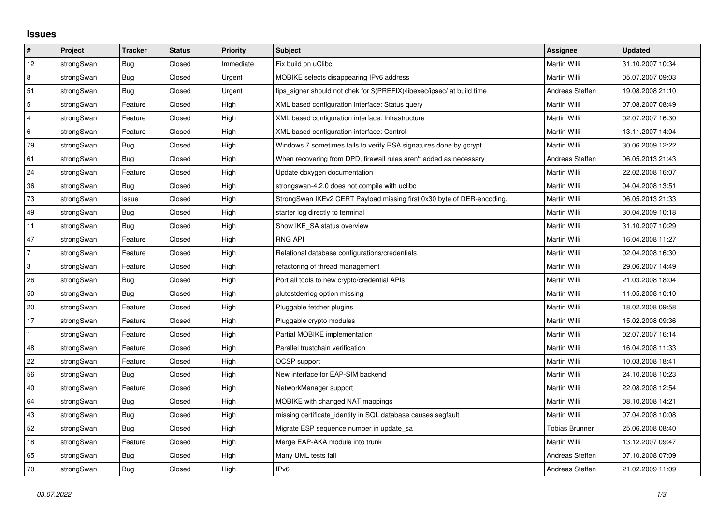## **Issues**

| #              | Project    | <b>Tracker</b> | <b>Status</b> | <b>Priority</b> | Subject                                                                 | Assignee              | <b>Updated</b>   |
|----------------|------------|----------------|---------------|-----------------|-------------------------------------------------------------------------|-----------------------|------------------|
| 12             | strongSwan | Bug            | Closed        | Immediate       | Fix build on uClibc                                                     | Martin Willi          | 31.10.2007 10:34 |
| 8              | strongSwan | Bug            | Closed        | Urgent          | MOBIKE selects disappearing IPv6 address                                | Martin Willi          | 05.07.2007 09:03 |
| 51             | strongSwan | Bug            | Closed        | Urgent          | fips_signer should not chek for \$(PREFIX)/libexec/ipsec/ at build time | Andreas Steffen       | 19.08.2008 21:10 |
| 5              | strongSwan | Feature        | Closed        | High            | XML based configuration interface: Status query                         | <b>Martin Willi</b>   | 07.08.2007 08:49 |
| $\overline{4}$ | strongSwan | Feature        | Closed        | High            | XML based configuration interface: Infrastructure                       | Martin Willi          | 02.07.2007 16:30 |
| 6              | strongSwan | Feature        | Closed        | High            | XML based configuration interface: Control                              | Martin Willi          | 13.11.2007 14:04 |
| 79             | strongSwan | Bug            | Closed        | High            | Windows 7 sometimes fails to verify RSA signatures done by gcrypt       | Martin Willi          | 30.06.2009 12:22 |
| 61             | strongSwan | Bug            | Closed        | High            | When recovering from DPD, firewall rules aren't added as necessary      | Andreas Steffen       | 06.05.2013 21:43 |
| 24             | strongSwan | Feature        | Closed        | High            | Update doxygen documentation                                            | Martin Willi          | 22.02.2008 16:07 |
| 36             | strongSwan | Bug            | Closed        | High            | strongswan-4.2.0 does not compile with uclibc                           | Martin Willi          | 04.04.2008 13:51 |
| 73             | strongSwan | Issue          | Closed        | High            | StrongSwan IKEv2 CERT Payload missing first 0x30 byte of DER-encoding.  | Martin Willi          | 06.05.2013 21:33 |
| 49             | strongSwan | Bug            | Closed        | High            | starter log directly to terminal                                        | Martin Willi          | 30.04.2009 10:18 |
| 11             | strongSwan | Bug            | Closed        | High            | Show IKE_SA status overview                                             | Martin Willi          | 31.10.2007 10:29 |
| 47             | strongSwan | Feature        | Closed        | High            | <b>RNG API</b>                                                          | Martin Willi          | 16.04.2008 11:27 |
| $\overline{7}$ | strongSwan | Feature        | Closed        | High            | Relational database configurations/credentials                          | Martin Willi          | 02.04.2008 16:30 |
| 3              | strongSwan | Feature        | Closed        | High            | refactoring of thread management                                        | Martin Willi          | 29.06.2007 14:49 |
| 26             | strongSwan | Bug            | Closed        | High            | Port all tools to new crypto/credential APIs                            | Martin Willi          | 21.03.2008 18:04 |
| 50             | strongSwan | Bug            | Closed        | High            | plutostderrlog option missing                                           | Martin Willi          | 11.05.2008 10:10 |
| 20             | strongSwan | Feature        | Closed        | High            | Pluggable fetcher plugins                                               | Martin Willi          | 18.02.2008 09:58 |
| 17             | strongSwan | Feature        | Closed        | High            | Pluggable crypto modules                                                | Martin Willi          | 15.02.2008 09:36 |
| $\mathbf{1}$   | strongSwan | Feature        | Closed        | High            | Partial MOBIKE implementation                                           | Martin Willi          | 02.07.2007 16:14 |
| 48             | strongSwan | Feature        | Closed        | High            | Parallel trustchain verification                                        | Martin Willi          | 16.04.2008 11:33 |
| 22             | strongSwan | Feature        | Closed        | High            | <b>OCSP</b> support                                                     | Martin Willi          | 10.03.2008 18:41 |
| 56             | strongSwan | Bug            | Closed        | High            | New interface for EAP-SIM backend                                       | Martin Willi          | 24.10.2008 10:23 |
| 40             | strongSwan | Feature        | Closed        | High            | NetworkManager support                                                  | Martin Willi          | 22.08.2008 12:54 |
| 64             | strongSwan | Bug            | Closed        | High            | MOBIKE with changed NAT mappings                                        | Martin Willi          | 08.10.2008 14:21 |
| 43             | strongSwan | Bug            | Closed        | High            | missing certificate_identity in SQL database causes segfault            | Martin Willi          | 07.04.2008 10:08 |
| 52             | strongSwan | Bug            | Closed        | High            | Migrate ESP sequence number in update_sa                                | <b>Tobias Brunner</b> | 25.06.2008 08:40 |
| 18             | strongSwan | Feature        | Closed        | High            | Merge EAP-AKA module into trunk                                         | Martin Willi          | 13.12.2007 09:47 |
| 65             | strongSwan | <b>Bug</b>     | Closed        | High            | Many UML tests fail                                                     | Andreas Steffen       | 07.10.2008 07:09 |
| 70             | strongSwan | Bug            | Closed        | High            | IP <sub>v6</sub>                                                        | Andreas Steffen       | 21.02.2009 11:09 |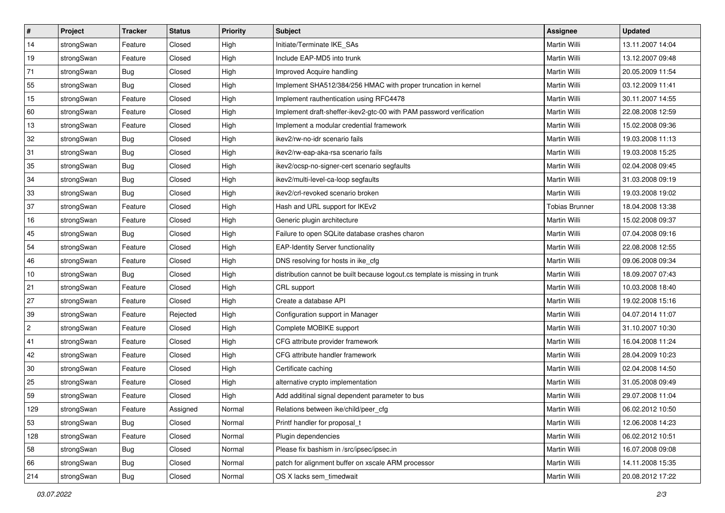| #              | Project    | <b>Tracker</b> | <b>Status</b> | <b>Priority</b> | <b>Subject</b>                                                              | Assignee              | <b>Updated</b>   |
|----------------|------------|----------------|---------------|-----------------|-----------------------------------------------------------------------------|-----------------------|------------------|
| 14             | strongSwan | Feature        | Closed        | High            | Initiate/Terminate IKE_SAs                                                  | Martin Willi          | 13.11.2007 14:04 |
| 19             | strongSwan | Feature        | Closed        | High            | Include EAP-MD5 into trunk                                                  | Martin Willi          | 13.12.2007 09:48 |
| 71             | strongSwan | Bug            | Closed        | High            | Improved Acquire handling                                                   | Martin Willi          | 20.05.2009 11:54 |
| 55             | strongSwan | Bug            | Closed        | High            | Implement SHA512/384/256 HMAC with proper truncation in kernel              | Martin Willi          | 03.12.2009 11:41 |
| 15             | strongSwan | Feature        | Closed        | High            | Implement rauthentication using RFC4478                                     | Martin Willi          | 30.11.2007 14:55 |
| 60             | strongSwan | Feature        | Closed        | High            | Implement draft-sheffer-ikev2-gtc-00 with PAM password verification         | Martin Willi          | 22.08.2008 12:59 |
| 13             | strongSwan | Feature        | Closed        | High            | Implement a modular credential framework                                    | Martin Willi          | 15.02.2008 09:36 |
| 32             | strongSwan | Bug            | Closed        | High            | ikev2/rw-no-idr scenario fails                                              | Martin Willi          | 19.03.2008 11:13 |
| 31             | strongSwan | Bug            | Closed        | High            | ikev2/rw-eap-aka-rsa scenario fails                                         | Martin Willi          | 19.03.2008 15:25 |
| 35             | strongSwan | Bug            | Closed        | High            | ikev2/ocsp-no-signer-cert scenario segfaults                                | <b>Martin Willi</b>   | 02.04.2008 09:45 |
| 34             | strongSwan | <b>Bug</b>     | Closed        | High            | ikev2/multi-level-ca-loop segfaults                                         | Martin Willi          | 31.03.2008 09:19 |
| 33             | strongSwan | <b>Bug</b>     | Closed        | High            | ikev2/crl-revoked scenario broken                                           | Martin Willi          | 19.03.2008 19:02 |
| 37             | strongSwan | Feature        | Closed        | High            | Hash and URL support for IKEv2                                              | <b>Tobias Brunner</b> | 18.04.2008 13:38 |
| 16             | strongSwan | Feature        | Closed        | High            | Generic plugin architecture                                                 | Martin Willi          | 15.02.2008 09:37 |
| 45             | strongSwan | <b>Bug</b>     | Closed        | High            | Failure to open SQLite database crashes charon                              | <b>Martin Willi</b>   | 07.04.2008 09:16 |
| 54             | strongSwan | Feature        | Closed        | High            | <b>EAP-Identity Server functionality</b>                                    | Martin Willi          | 22.08.2008 12:55 |
| 46             | strongSwan | Feature        | Closed        | High            | DNS resolving for hosts in ike_cfg                                          | <b>Martin Willi</b>   | 09.06.2008 09:34 |
| 10             | strongSwan | Bug            | Closed        | High            | distribution cannot be built because logout.cs template is missing in trunk | Martin Willi          | 18.09.2007 07:43 |
| 21             | strongSwan | Feature        | Closed        | High            | CRL support                                                                 | Martin Willi          | 10.03.2008 18:40 |
| 27             | strongSwan | Feature        | Closed        | High            | Create a database API                                                       | Martin Willi          | 19.02.2008 15:16 |
| 39             | strongSwan | Feature        | Rejected      | High            | Configuration support in Manager                                            | Martin Willi          | 04.07.2014 11:07 |
| $\overline{2}$ | strongSwan | Feature        | Closed        | High            | Complete MOBIKE support                                                     | Martin Willi          | 31.10.2007 10:30 |
| 41             | strongSwan | Feature        | Closed        | High            | CFG attribute provider framework                                            | <b>Martin Willi</b>   | 16.04.2008 11:24 |
| 42             | strongSwan | Feature        | Closed        | High            | CFG attribute handler framework                                             | Martin Willi          | 28.04.2009 10:23 |
| 30             | strongSwan | Feature        | Closed        | High            | Certificate caching                                                         | Martin Willi          | 02.04.2008 14:50 |
| 25             | strongSwan | Feature        | Closed        | High            | alternative crypto implementation                                           | <b>Martin Willi</b>   | 31.05.2008 09:49 |
| 59             | strongSwan | Feature        | Closed        | High            | Add additinal signal dependent parameter to bus                             | Martin Willi          | 29.07.2008 11:04 |
| 129            | strongSwan | Feature        | Assigned      | Normal          | Relations between ike/child/peer_cfg                                        | Martin Willi          | 06.02.2012 10:50 |
| 53             | strongSwan | Bug            | Closed        | Normal          | Printf handler for proposal t                                               | Martin Willi          | 12.06.2008 14:23 |
| 128            | strongSwan | Feature        | Closed        | Normal          | Plugin dependencies                                                         | Martin Willi          | 06.02.2012 10:51 |
| 58             | strongSwan | Bug            | Closed        | Normal          | Please fix bashism in /src/ipsec/ipsec.in                                   | Martin Willi          | 16.07.2008 09:08 |
| 66             | strongSwan | Bug            | Closed        | Normal          | patch for alignment buffer on xscale ARM processor                          | Martin Willi          | 14.11.2008 15:35 |
| 214            | strongSwan | <b>Bug</b>     | Closed        | Normal          | OS X lacks sem timedwait                                                    | <b>Martin Willi</b>   | 20.08.2012 17:22 |